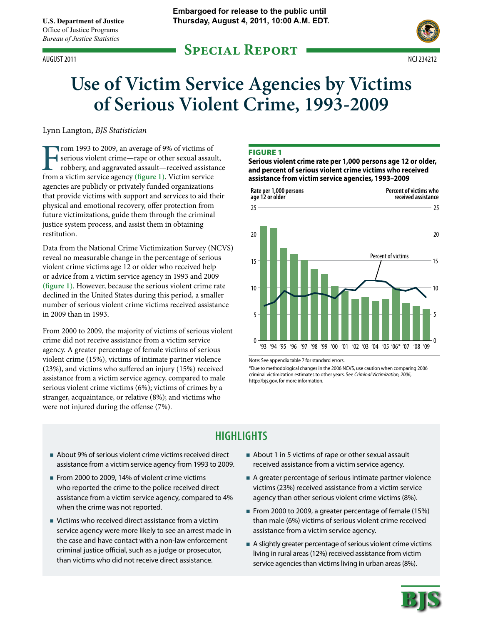# **Special Report** August 2011 ncj 234212



# **Use of Victim Service Agencies by Victims of Serious Violent Crime, 1993-2009**

Lynn Langton, *BJS Statistician*

From 1993 to 2009, an average of 9% of victims of serious violent crime—rape or other sexual assau robbery, and aggravated assault—received assistant from a victim service agency (figure 1). Victim service serious violent crime—rape or other sexual assault, robbery, and aggravated assault—received assistance agencies are publicly or privately funded organizations that provide victims with support and services to aid their physical and emotional recovery, offer protection from future victimizations, guide them through the criminal justice system process, and assist them in obtaining restitution.

Data from the National Crime Victimization Survey (NCVS) reveal no measurable change in the percentage of serious violent crime victims age 12 or older who received help or advice from a victim service agency in 1993 and 2009 **(figure 1)**. However, because the serious violent crime rate declined in the United States during this period, a smaller number of serious violent crime victims received assistance in 2009 than in 1993.

From 2000 to 2009, the majority of victims of serious violent crime did not receive assistance from a victim service agency. A greater percentage of female victims of serious violent crime (15%), victims of intimate partner violence (23%), and victims who suffered an injury (15%) received assistance from a victim service agency, compared to male serious violent crime victims (6%); victims of crimes by a stranger, acquaintance, or relative (8%); and victims who were not injured during the offense (7%).

#### **FIGURE 1**

**Serious violent crime rate per 1,000 persons age 12 or older, and percent of serious violent crime victims who received assistance from victim service agencies, 1993–2009**



Note: See appendix table 7 for standard errors.

\*Due to methodological changes in the 2006 NCVS, use caution when comparing 2006 criminal victimization estimates to other years. See *Criminal Victimization, 2006*, http://bjs.gov, for more information.

# **Highlights**

- About 9% of serious violent crime victims received direct assistance from a victim service agency from 1993 to 2009.
- From 2000 to 2009, 14% of violent crime victims who reported the crime to the police received direct assistance from a victim service agency, compared to 4% when the crime was not reported.
- Victims who received direct assistance from a victim service agency were more likely to see an arrest made in the case and have contact with a non-law enforcement criminal justice official, such as a judge or prosecutor, than victims who did not receive direct assistance.
- About 1 in 5 victims of rape or other sexual assault received assistance from a victim service agency.
- A greater percentage of serious intimate partner violence victims (23%) received assistance from a victim service agency than other serious violent crime victims (8%).
- From 2000 to 2009, a greater percentage of female (15%) than male (6%) victims of serious violent crime received assistance from a victim service agency.
- A slightly greater percentage of serious violent crime victims living in rural areas (12%) received assistance from victim service agencies than victims living in urban areas (8%).

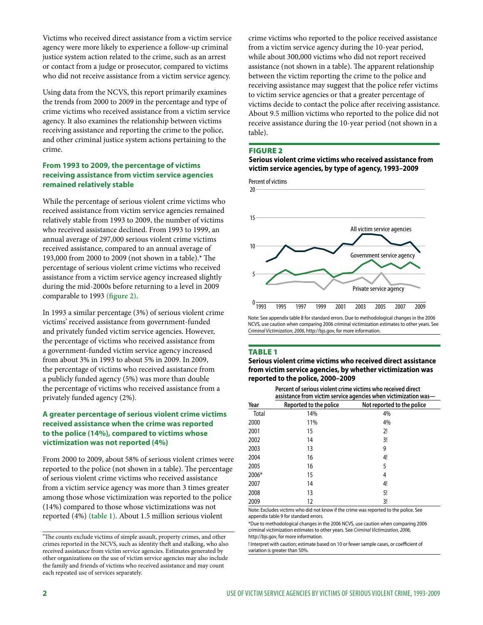Victims who received direct assistance from a victim service agency were more likely to experience a follow-up criminal justice system action related to the crime, such as an arrest or contact from a judge or prosecutor, compared to victims who did not receive assistance from a victim service agency.

Using data from the NCVS, this report primarily examines the trends from 2000 to 2009 in the percentage and type of crime victims who received assistance from a victim service agency. It also examines the relationship between victims receiving assistance and reporting the crime to the police, and other criminal justice system actions pertaining to the crime.

# **From 1993 to 2009, the percentage of victims receiving assistance from victim service agencies remained relatively stable**

While the percentage of serious violent crime victims who received assistance from victim service agencies remained relatively stable from 1993 to 2009, the number of victims who received assistance declined. From 1993 to 1999, an annual average of 297,000 serious violent crime victims received assistance, compared to an annual average of 193,000 from 2000 to 2009 (not shown in a table).\* The percentage of serious violent crime victims who received assistance from a victim service agency increased slightly during the mid-2000s before returning to a level in 2009 comparable to 1993 **(figure 2)**.

In 1993 a similar percentage (3%) of serious violent crime victims' received assistance from government-funded and privately funded victim service agencies. However, the percentage of victims who received assistance from a government-funded victim service agency increased from about 3% in 1993 to about 5% in 2009. In 2009, the percentage of victims who received assistance from a publicly funded agency (5%) was more than double the percentage of victims who received assistance from a privately funded agency (2%).

# **A greater percentage of serious violent crime victims received assistance when the crime was reported to the police (14%), compared to victims whose victimization was not reported (4%)**

From 2000 to 2009, about 58% of serious violent crimes were reported to the police (not shown in a table). The percentage of serious violent crime victims who received assistance from a victim service agency was more than 3 times greater among those whose victimization was reported to the police (14%) compared to those whose victimizations was not reported (4%) **(table 1)**. About 1.5 million serious violent

crime victims who reported to the police received assistance from a victim service agency during the 10-year period, while about 300,000 victims who did not report received assistance (not shown in a table). The apparent relationship between the victim reporting the crime to the police and receiving assistance may suggest that the police refer victims to victim service agencies or that a greater percentage of victims decide to contact the police after receiving assistance. About 9.5 million victims who reported to the police did not receive assistance during the 10-year period (not shown in a table).

#### Figure 2

#### **Serious violent crime victims who received assistance from victim service agencies, by type of agency, 1993–2009**

20 Percent of victims



Note: See appendix table 8 for standard errors. Due to methodological changes in the 2006 NCVS, use caution when comparing 2006 criminal victimization estimates to other years. See *Criminal Victimization, 2006*, http://bjs.gov, for more information.

#### Table 1

**Serious violent crime victims who received direct assistance from victim service agencies, by whether victimization was reported to the police, 2000–2009**

> **Percent of serious violent crime victims who received direct assistance from victim service agencies when victimization was—**

|       | - - - -                |                            |  |  |  |  |
|-------|------------------------|----------------------------|--|--|--|--|
| Year  | Reported to the police | Not reported to the police |  |  |  |  |
| Total | 14%                    | 4%                         |  |  |  |  |
| 2000  | 11%                    | 4%                         |  |  |  |  |
| 2001  | 15                     | 2!                         |  |  |  |  |
| 2002  | 14                     | 3!                         |  |  |  |  |
| 2003  | 13                     | 9                          |  |  |  |  |
| 2004  | 16                     | 4!                         |  |  |  |  |
| 2005  | 16                     | 5                          |  |  |  |  |
| 2006* | 15                     | 4                          |  |  |  |  |
| 2007  | 14                     | 4!                         |  |  |  |  |
| 2008  | 13                     | 5!                         |  |  |  |  |
| 2009  | 12                     | 3!                         |  |  |  |  |

Note: Excludes victims who did not know if the crime was reported to the police. See appendix table 9 for standard errors.

\*Due to methodological changes in the 2006 NCVS, use caution when comparing 2006 criminal victimization estimates to other years. See *Criminal Victimization, 2006*, http://bjs.gov, for more information.

! Interpret with caution; estimate based on 10 or fewer sample cases, or coefficient of variation is greater than 50%.

<sup>\*</sup>The counts exclude victims of simple assault, property crimes, and other crimes reported in the NCVS, such as identity theft and stalking, who also received assistance from victim service agencies. Estimates generated by other organizations on the use of victim service agencies may also include the family and friends of victims who received assistance and may count each repeated use of services separately.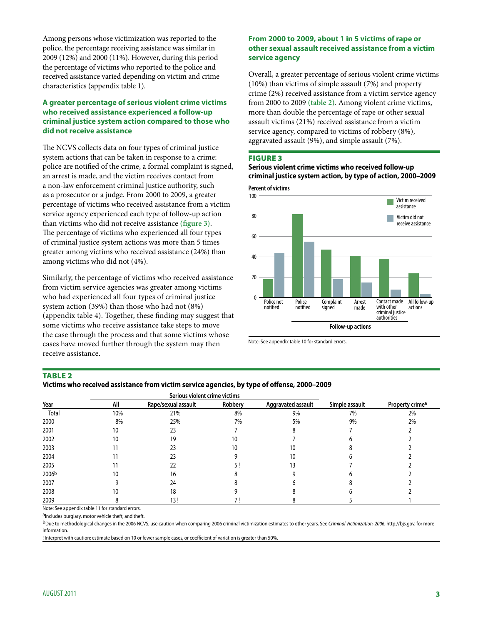Among persons whose victimization was reported to the police, the percentage receiving assistance was similar in 2009 (12%) and 2000 (11%). However, during this period the percentage of victims who reported to the police and received assistance varied depending on victim and crime characteristics (appendix table 1).

# **A greater percentage of serious violent crime victims who received assistance experienced a follow-up criminal justice system action compared to those who did not receive assistance**

The NCVS collects data on four types of criminal justice system actions that can be taken in response to a crime: police are notified of the crime, a formal complaint is signed, an arrest is made, and the victim receives contact from a non-law enforcement criminal justice authority, such as a prosecutor or a judge. From 2000 to 2009, a greater percentage of victims who received assistance from a victim service agency experienced each type of follow-up action than victims who did not receive assistance **(figure 3)**. The percentage of victims who experienced all four types of criminal justice system actions was more than 5 times greater among victims who received assistance (24%) than among victims who did not (4%).

Similarly, the percentage of victims who received assistance from victim service agencies was greater among victims who had experienced all four types of criminal justice system action (39%) than those who had not (8%) (appendix table 4). Together, these finding may suggest that some victims who receive assistance take steps to move the case through the process and that some victims whose cases have moved further through the system may then receive assistance.

# **From 2000 to 2009, about 1 in 5 victims of rape or other sexual assault received assistance from a victim service agency**

Overall, a greater percentage of serious violent crime victims (10%) than victims of simple assault (7%) and property crime (2%) received assistance from a victim service agency from 2000 to 2009 **(table 2)**. Among violent crime victims, more than double the percentage of rape or other sexual assault victims (21%) received assistance from a victim service agency, compared to victims of robbery (8%), aggravated assault (9%), and simple assault (7%).

#### Figure 3

**Serious violent crime victims who received follow-up criminal justice system action, by type of action, 2000–2009**



Note: See appendix table 10 for standard errors.

#### **TABLE 2**

| Victims who received assistance from victim service agencies, by type of offense, 2000–2009 |  |  |  |  |
|---------------------------------------------------------------------------------------------|--|--|--|--|
|                                                                                             |  |  |  |  |

|       |     | Serious violent crime victims |         |                    |                |                             |
|-------|-----|-------------------------------|---------|--------------------|----------------|-----------------------------|
| Year  | All | Rape/sexual assault           | Robbery | Aggravated assault | Simple assault | Property crime <sup>a</sup> |
| Total | 10% | 21%                           | 8%      | 9%                 | 7%             | 2%                          |
| 2000  | 8%  | 25%                           | 7%      | 5%                 | 9%             | 2%                          |
| 2001  | 10  | 23                            |         |                    |                |                             |
| 2002  | ۱0  | 19                            | 10      |                    |                |                             |
| 2003  |     |                               | 10      |                    |                |                             |
| 2004  |     |                               |         |                    |                |                             |
| 2005  |     | 22                            |         |                    |                |                             |
| 2006b | ιU  | 16                            |         |                    |                |                             |
| 2007  |     | 24                            |         |                    |                |                             |
| 2008  |     | 18                            |         |                    |                |                             |
| 2009  |     | 13!                           |         |                    |                |                             |

Note: See appendix table 11 for standard errors.

aIncludes burglary, motor vehicle theft, and theft.

bDue to methodological changes in the 2006 NCVS, use caution when comparing 2006 criminal victimization estimates to other years. See *Criminal Victimization, 2006*, http://bjs.gov, for more information.

! Interpret with caution; estimate based on 10 or fewer sample cases, or coefficient of variation is greater than 50%.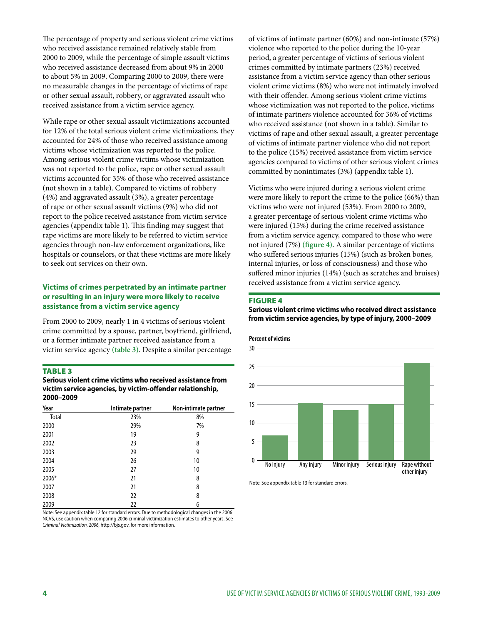The percentage of property and serious violent crime victims who received assistance remained relatively stable from 2000 to 2009, while the percentage of simple assault victims who received assistance decreased from about 9% in 2000 to about 5% in 2009. Comparing 2000 to 2009, there were no measurable changes in the percentage of victims of rape or other sexual assault, robbery, or aggravated assault who received assistance from a victim service agency.

While rape or other sexual assault victimizations accounted for 12% of the total serious violent crime victimizations, they accounted for 24% of those who received assistance among victims whose victimization was reported to the police. Among serious violent crime victims whose victimization was not reported to the police, rape or other sexual assault victims accounted for 35% of those who received assistance (not shown in a table). Compared to victims of robbery (4%) and aggravated assault (3%), a greater percentage of rape or other sexual assault victims (9%) who did not report to the police received assistance from victim service agencies (appendix table 1). This finding may suggest that rape victims are more likely to be referred to victim service agencies through non-law enforcement organizations, like hospitals or counselors, or that these victims are more likely to seek out services on their own.

# **Victims of crimes perpetrated by an intimate partner or resulting in an injury were more likely to receive assistance from a victim service agency**

From 2000 to 2009, nearly 1 in 4 victims of serious violent crime committed by a spouse, partner, boyfriend, girlfriend, or a former intimate partner received assistance from a victim service agency **(table 3)**. Despite a similar percentage

#### **TABLE 3**

**Serious violent crime victims who received assistance from victim service agencies, by victim-offender relationship, 2000–2009**

| Year  | Intimate partner | Non-intimate partner |
|-------|------------------|----------------------|
| Total | 23%              | 8%                   |
| 2000  | 29%              | 7%                   |
| 2001  | 19               | 9                    |
| 2002  | 23               | 8                    |
| 2003  | 29               | 9                    |
| 2004  | 26               | 10                   |
| 2005  | 27               | 10                   |
| 2006* | 21               | 8                    |
| 2007  | 21               | 8                    |
| 2008  | 22               | 8                    |
| 2009  | 22               | 6                    |

Note: See appendix table 12 for standard errors. Due to methodological changes in the 2006 NCVS, use caution when comparing 2006 criminal victimization estimates to other years. See *Criminal Victimization, 2006*, http://bjs.gov, for more information.

of victims of intimate partner (60%) and non-intimate (57%) violence who reported to the police during the 10-year period, a greater percentage of victims of serious violent crimes committed by intimate partners (23%) received assistance from a victim service agency than other serious violent crime victims (8%) who were not intimately involved with their offender. Among serious violent crime victims whose victimization was not reported to the police, victims of intimate partners violence accounted for 36% of victims who received assistance (not shown in a table). Similar to victims of rape and other sexual assault, a greater percentage of victims of intimate partner violence who did not report to the police (15%) received assistance from victim service agencies compared to victims of other serious violent crimes committed by nonintimates (3%) (appendix table 1).

Victims who were injured during a serious violent crime were more likely to report the crime to the police (66%) than victims who were not injured (53%). From 2000 to 2009, a greater percentage of serious violent crime victims who were injured (15%) during the crime received assistance from a victim service agency, compared to those who were not injured (7%) **(figure 4)**. A similar percentage of victims who suffered serious injuries (15%) (such as broken bones, internal injuries, or loss of consciousness) and those who suffered minor injuries (14%) (such as scratches and bruises) received assistance from a victim service agency.

#### Figure 4

**Serious violent crime victims who received direct assistance from victim service agencies, by type of injury, 2000–2009**

#### **Percent of victims**



Note: See appendix table 13 for standard errors.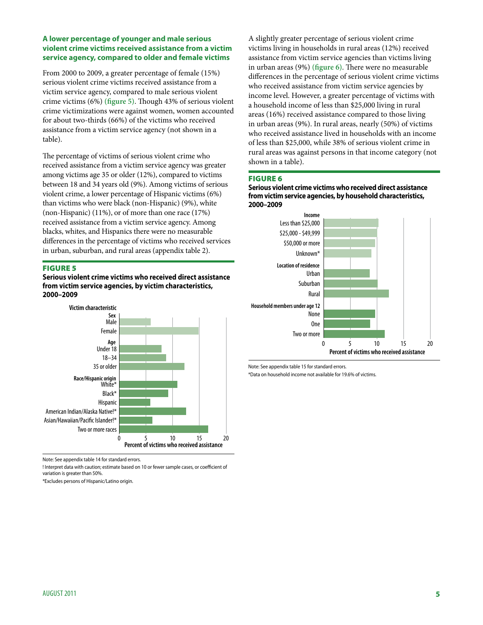# **A lower percentage of younger and male serious violent crime victims received assistance from a victim service agency, compared to older and female victims**

From 2000 to 2009, a greater percentage of female (15%) serious violent crime victims received assistance from a victim service agency, compared to male serious violent crime victims (6%) **(figure 5)**. Though 43% of serious violent crime victimizations were against women, women accounted for about two-thirds (66%) of the victims who received assistance from a victim service agency (not shown in a table).

The percentage of victims of serious violent crime who received assistance from a victim service agency was greater among victims age 35 or older (12%), compared to victims between 18 and 34 years old (9%). Among victims of serious violent crime, a lower percentage of Hispanic victims (6%) than victims who were black (non-Hispanic) (9%), white (non-Hispanic) (11%), or of more than one race (17%) received assistance from a victim service agency. Among blacks, whites, and Hispanics there were no measurable differences in the percentage of victims who received services in urban, suburban, and rural areas (appendix table 2).

#### Figure 5

**Serious violent crime victims who received direct assistance from victim service agencies, by victim characteristics, 2000–2009**



Note: See appendix table 14 for standard errors.

! Interpret data with caution; estimate based on 10 or fewer sample cases, or coefficient of variation is greater than 50%.

\*Excludes persons of Hispanic/Latino origin.

A slightly greater percentage of serious violent crime victims living in households in rural areas (12%) received assistance from victim service agencies than victims living in urban areas (9%) **(figure 6)**. There were no measurable differences in the percentage of serious violent crime victims who received assistance from victim service agencies by income level. However, a greater percentage of victims with a household income of less than \$25,000 living in rural areas (16%) received assistance compared to those living in urban areas (9%). In rural areas, nearly (50%) of victims who received assistance lived in households with an income of less than \$25,000, while 38% of serious violent crime in rural areas was against persons in that income category (not shown in a table).

#### Figure 6

**Serious violent crime victims who received direct assistance from victim service agencies, by household characteristics, 2000–2009**



Note: See appendix table 15 for standard errors.

\*Data on household income not available for 19.6% of victims.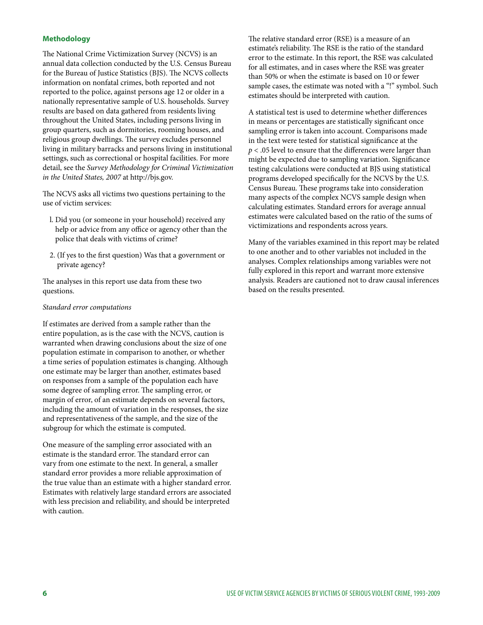# **Methodology**

The National Crime Victimization Survey (NCVS) is an annual data collection conducted by the U.S. Census Bureau for the Bureau of Justice Statistics (BJS). The NCVS collects information on nonfatal crimes, both reported and not reported to the police, against persons age 12 or older in a nationally representative sample of U.S. households. Survey results are based on data gathered from residents living throughout the United States, including persons living in group quarters, such as dormitories, rooming houses, and religious group dwellings. The survey excludes personnel living in military barracks and persons living in institutional settings, such as correctional or hospital facilities. For more detail, see the *Survey Methodology for Criminal Victimization in the United States, 2007* at http://bjs.gov.

The NCVS asks all victims two questions pertaining to the use of victim services:

- l. Did you (or someone in your household) received any help or advice from any office or agency other than the police that deals with victims of crime?
- 2. (If yes to the first question) Was that a government or private agency?

The analyses in this report use data from these two questions.

#### *Standard error computations*

If estimates are derived from a sample rather than the entire population, as is the case with the NCVS, caution is warranted when drawing conclusions about the size of one population estimate in comparison to another, or whether a time series of population estimates is changing. Although one estimate may be larger than another, estimates based on responses from a sample of the population each have some degree of sampling error. The sampling error, or margin of error, of an estimate depends on several factors, including the amount of variation in the responses, the size and representativeness of the sample, and the size of the subgroup for which the estimate is computed.

One measure of the sampling error associated with an estimate is the standard error. The standard error can vary from one estimate to the next. In general, a smaller standard error provides a more reliable approximation of the true value than an estimate with a higher standard error. Estimates with relatively large standard errors are associated with less precision and reliability, and should be interpreted with caution.

The relative standard error (RSE) is a measure of an estimate's reliability. The RSE is the ratio of the standard error to the estimate. In this report, the RSE was calculated for all estimates, and in cases where the RSE was greater than 50% or when the estimate is based on 10 or fewer sample cases, the estimate was noted with a "!" symbol. Such estimates should be interpreted with caution.

A statistical test is used to determine whether differences in means or percentages are statistically significant once sampling error is taken into account. Comparisons made in the text were tested for statistical significance at the *p* < .05 level to ensure that the differences were larger than might be expected due to sampling variation. Significance testing calculations were conducted at BJS using statistical programs developed specifically for the NCVS by the U.S. Census Bureau. These programs take into consideration many aspects of the complex NCVS sample design when calculating estimates. Standard errors for average annual estimates were calculated based on the ratio of the sums of victimizations and respondents across years.

Many of the variables examined in this report may be related to one another and to other variables not included in the analyses. Complex relationships among variables were not fully explored in this report and warrant more extensive analysis. Readers are cautioned not to draw causal inferences based on the results presented.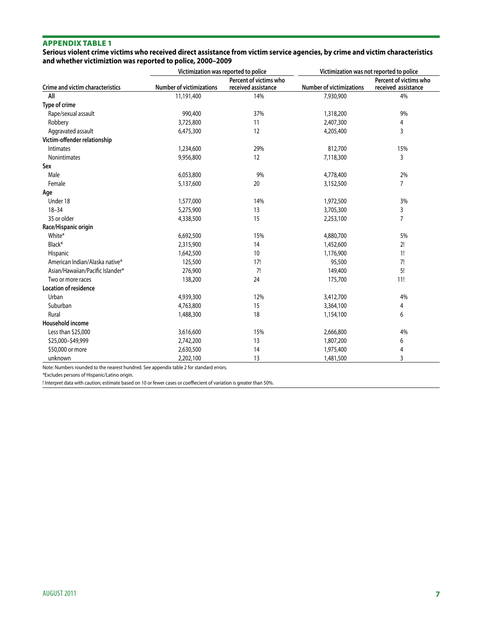#### **Serious violent crime victims who received direct assistance from victim service agencies, by crime and victim characteristics and whether victimiztion was reported to police, 2000–2009**

|                                         | Victimization was reported to police |                        | Victimization was not reported to police |                        |  |
|-----------------------------------------|--------------------------------------|------------------------|------------------------------------------|------------------------|--|
|                                         |                                      | Percent of victims who |                                          | Percent of victims who |  |
| <b>Crime and victim characteristics</b> | <b>Number of victimizations</b>      | received assistance    | <b>Number of victimizations</b>          | received assistance    |  |
| All                                     | 11,191,400                           | 14%                    | 7,930,900                                | 4%                     |  |
| Type of crime                           |                                      |                        |                                          |                        |  |
| Rape/sexual assault                     | 990,400                              | 37%                    | 1,318,200                                | 9%                     |  |
| Robbery                                 | 3,725,800                            | 11                     | 2,407,300                                | 4                      |  |
| Aggravated assault                      | 6,475,300                            | 12                     | 4,205,400                                | 3                      |  |
| Victim-offender relationship            |                                      |                        |                                          |                        |  |
| <b>Intimates</b>                        | 1,234,600                            | 29%                    | 812,700                                  | 15%                    |  |
| <b>Nonintimates</b>                     | 9,956,800                            | 12                     | 7,118,300                                | $\overline{3}$         |  |
| Sex                                     |                                      |                        |                                          |                        |  |
| Male                                    | 6,053,800                            | 9%                     | 4,778,400                                | 2%                     |  |
| Female                                  | 5,137,600                            | 20                     | 3,152,500                                | $\overline{7}$         |  |
| Age                                     |                                      |                        |                                          |                        |  |
| Under 18                                | 1,577,000                            | 14%                    | 1,972,500                                | 3%                     |  |
| $18 - 34$                               | 5,275,900                            | 13                     | 3,705,300                                | 3                      |  |
| 35 or older                             | 4,338,500                            | 15                     | 2,253,100                                | 7                      |  |
| Race/Hispanic origin                    |                                      |                        |                                          |                        |  |
| White*                                  | 6,692,500                            | 15%                    | 4,880,700                                | 5%                     |  |
| Black*                                  | 2,315,900                            | 14                     | 1,452,600                                | 2!                     |  |
| Hispanic                                | 1,642,500                            | 10                     | 1,176,900                                | 1!                     |  |
| American Indian/Alaska native*          | 125,500                              | 17!                    | 95,500                                   | 7!                     |  |
| Asian/Hawaiian/Pacific Islander*        | 276,900                              | 7!                     | 149,400                                  | 5!                     |  |
| Two or more races                       | 138,200                              | 24                     | 175,700                                  | 11!                    |  |
| <b>Location of residence</b>            |                                      |                        |                                          |                        |  |
| Urban                                   | 4,939,300                            | 12%                    | 3,412,700                                | 4%                     |  |
| Suburban                                | 4,763,800                            | 15                     | 3,364,100                                | 4                      |  |
| Rural                                   | 1,488,300                            | 18                     | 1,154,100                                | 6                      |  |
| Household income                        |                                      |                        |                                          |                        |  |
| Less than \$25,000                      | 3,616,600                            | 15%                    | 2,666,800                                | 4%                     |  |
| \$25,000-\$49,999                       | 2,742,200                            | 13                     | 1,807,200                                | 6                      |  |
| \$50,000 or more                        | 2,630,500                            | 14                     | 1,975,400                                | 4                      |  |
| unknown                                 | 2,202,100                            | 13                     | 1,481,500                                | 3                      |  |

Note: Numbers rounded to the nearest hundred. See appendix table 2 for standard errors.

\*Excludes persons of Hispanic/Latino origin.

! Interpret data with caution; estimate based on 10 or fewer cases or coeffiecient of variation is greater than 50%.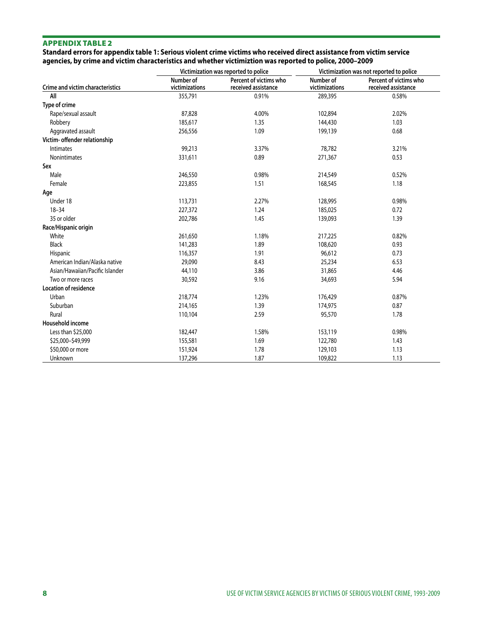**Standard errors for appendix table 1: Serious violent crime victims who received direct assistance from victim service agencies, by crime and victim characteristics and whether victimiztion was reported to police, 2000–2009**

|                                  |                             | Victimization was reported to police          | Victimization was not reported to police |                                               |  |
|----------------------------------|-----------------------------|-----------------------------------------------|------------------------------------------|-----------------------------------------------|--|
| Crime and victim characteristics | Number of<br>victimizations | Percent of victims who<br>received assistance | Number of<br>victimizations              | Percent of victims who<br>received assistance |  |
| All                              | 355,791                     | 0.91%                                         | 289,395                                  | 0.58%                                         |  |
| Type of crime                    |                             |                                               |                                          |                                               |  |
| Rape/sexual assault              | 87,828                      | 4.00%                                         | 102,894                                  | 2.02%                                         |  |
| Robbery                          | 185,617                     | 1.35                                          | 144,430                                  | 1.03                                          |  |
| Aggravated assault               | 256,556                     | 1.09                                          | 199,139                                  | 0.68                                          |  |
| Victim- offender relationship    |                             |                                               |                                          |                                               |  |
| <b>Intimates</b>                 | 99,213                      | 3.37%                                         | 78,782                                   | 3.21%                                         |  |
| <b>Nonintimates</b>              | 331,611                     | 0.89                                          | 271,367                                  | 0.53                                          |  |
| Sex                              |                             |                                               |                                          |                                               |  |
| Male                             | 246,550                     | 0.98%                                         | 214,549                                  | 0.52%                                         |  |
| Female                           | 223,855                     | 1.51                                          | 168,545                                  | 1.18                                          |  |
| Age                              |                             |                                               |                                          |                                               |  |
| Under 18                         | 113,731                     | 2.27%                                         | 128,995                                  | 0.98%                                         |  |
| $18 - 34$                        | 227,372                     | 1.24                                          | 185,025                                  | 0.72                                          |  |
| 35 or older                      | 202,786                     | 1.45                                          | 139,093                                  | 1.39                                          |  |
| Race/Hispanic origin             |                             |                                               |                                          |                                               |  |
| White                            | 261,650                     | 1.18%                                         | 217,225                                  | 0.82%                                         |  |
| <b>Black</b>                     | 141,283                     | 1.89                                          | 108,620                                  | 0.93                                          |  |
| Hispanic                         | 116,357                     | 1.91                                          | 96,612                                   | 0.73                                          |  |
| American Indian/Alaska native    | 29,090                      | 8.43                                          | 25,234                                   | 6.53                                          |  |
| Asian/Hawaiian/Pacific Islander  | 44,110                      | 3.86                                          | 31,865                                   | 4.46                                          |  |
| Two or more races                | 30,592                      | 9.16                                          | 34,693                                   | 5.94                                          |  |
| <b>Location of residence</b>     |                             |                                               |                                          |                                               |  |
| Urban                            | 218,774                     | 1.23%                                         | 176,429                                  | 0.87%                                         |  |
| Suburban                         | 214,165                     | 1.39                                          | 174,975                                  | 0.87                                          |  |
| Rural                            | 110,104                     | 2.59                                          | 95,570                                   | 1.78                                          |  |
| Household income                 |                             |                                               |                                          |                                               |  |
| Less than \$25,000               | 182,447                     | 1.58%                                         | 153,119                                  | 0.98%                                         |  |
| \$25,000-\$49,999                | 155,581                     | 1.69                                          | 122,780                                  | 1.43                                          |  |
| \$50,000 or more                 | 151,924                     | 1.78                                          | 129,103                                  | 1.13                                          |  |
| Unknown                          | 137,296                     | 1.87                                          | 109,822                                  | 1.13                                          |  |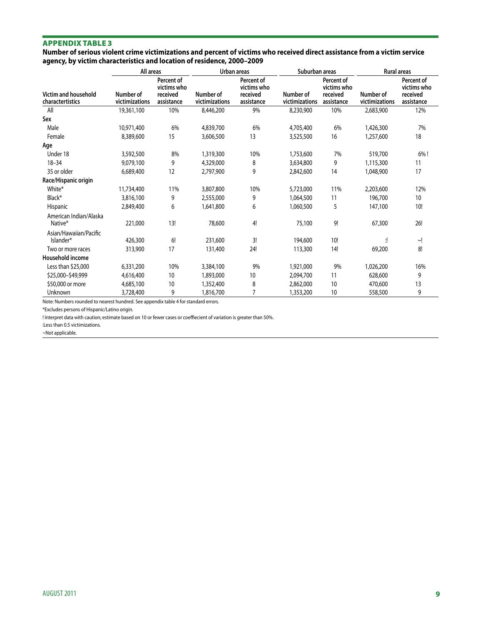**Number of serious violent crime victimizations and percent of victims who received direct assistance from a victim service agency, by victim characteristics and location of residence, 2000–2009**

|                                          | All areas                   |                                                     | Urban areas                 |                                                     | Suburban areas              |                                                     | <b>Rural areas</b>          |                                                     |
|------------------------------------------|-----------------------------|-----------------------------------------------------|-----------------------------|-----------------------------------------------------|-----------------------------|-----------------------------------------------------|-----------------------------|-----------------------------------------------------|
| Victim and household<br>charactertistics | Number of<br>victimizations | Percent of<br>victims who<br>received<br>assistance | Number of<br>victimizations | Percent of<br>victims who<br>received<br>assistance | Number of<br>victimizations | Percent of<br>victims who<br>received<br>assistance | Number of<br>victimizations | Percent of<br>victims who<br>received<br>assistance |
| All                                      | 19,361,100                  | 10%                                                 | 8,446,200                   | 9%                                                  | 8,230,900                   | 10%                                                 | 2,683,900                   | 12%                                                 |
| Sex                                      |                             |                                                     |                             |                                                     |                             |                                                     |                             |                                                     |
| Male                                     | 10,971,400                  | 6%                                                  | 4,839,700                   | 6%                                                  | 4,705,400                   | 6%                                                  | 1,426,300                   | 7%                                                  |
| Female                                   | 8,389,600                   | 15                                                  | 3,606,500                   | 13                                                  | 3,525,500                   | 16                                                  | 1,257,600                   | 18                                                  |
| Age                                      |                             |                                                     |                             |                                                     |                             |                                                     |                             |                                                     |
| Under 18                                 | 3,592,500                   | 8%                                                  | 1,319,300                   | 10%                                                 | 1,753,600                   | 7%                                                  | 519,700                     | 6%!                                                 |
| $18 - 34$                                | 9,079,100                   | 9                                                   | 4,329,000                   | 8                                                   | 3,634,800                   | 9                                                   | 1,115,300                   | 11                                                  |
| 35 or older                              | 6,689,400                   | 12                                                  | 2,797,900                   | 9                                                   | 2,842,600                   | 14                                                  | 1,048,900                   | 17                                                  |
| Race/Hispanic origin                     |                             |                                                     |                             |                                                     |                             |                                                     |                             |                                                     |
| White*                                   | 11,734,400                  | 11%                                                 | 3,807,800                   | 10%                                                 | 5,723,000                   | 11%                                                 | 2,203,600                   | 12%                                                 |
| Black*                                   | 3,816,100                   | 9                                                   | 2,555,000                   | 9                                                   | 1,064,500                   | 11                                                  | 196,700                     | 10 <sup>°</sup>                                     |
| Hispanic                                 | 2,849,400                   | 6                                                   | 1,641,800                   | 6                                                   | 1,060,500                   | 5                                                   | 147,100                     | 10!                                                 |
| American Indian/Alaska<br>Native*        | 221,000                     | 13!                                                 | 78,600                      | 4!                                                  | 75,100                      | 9!                                                  | 67,300                      | 26!                                                 |
| Asian/Hawaiian/Pacific<br>Islander*      | 426,300                     | 6!                                                  | 231,600                     | 3!                                                  | 194,600                     | 10!                                                 | 1                           | $\sim$ !                                            |
| Two or more races                        | 313,900                     | 17                                                  | 131,400                     | 24!                                                 | 113,300                     | 14!                                                 | 69,200                      | 8!                                                  |
| Household income                         |                             |                                                     |                             |                                                     |                             |                                                     |                             |                                                     |
| Less than \$25,000                       | 6,331,200                   | 10%                                                 | 3,384,100                   | 9%                                                  | 1,921,000                   | 9%                                                  | 1,026,200                   | 16%                                                 |
| \$25,000-\$49,999                        | 4,616,400                   | 10                                                  | 1,893,000                   | 10                                                  | 2,094,700                   | 11                                                  | 628,600                     | 9                                                   |
| \$50,000 or more                         | 4,685,100                   | 10                                                  | 1,352,400                   | 8                                                   | 2,862,000                   | 10                                                  | 470,600                     | 13                                                  |
| Unknown                                  | 3,728,400                   | 9                                                   | 1,816,700                   | 7                                                   | 1,353,200                   | 10                                                  | 558,500                     | 9                                                   |

Note: Numbers rounded to nearest hundred. See appendix table 4 for standard errors.

\*Excludes persons of Hispanic/Latino origin.

! Interpret data with caution; estimate based on 10 or fewer cases or coeffiecient of variation is greater than 50%.

:Less than 0.5 victimizations.

~Not applicable.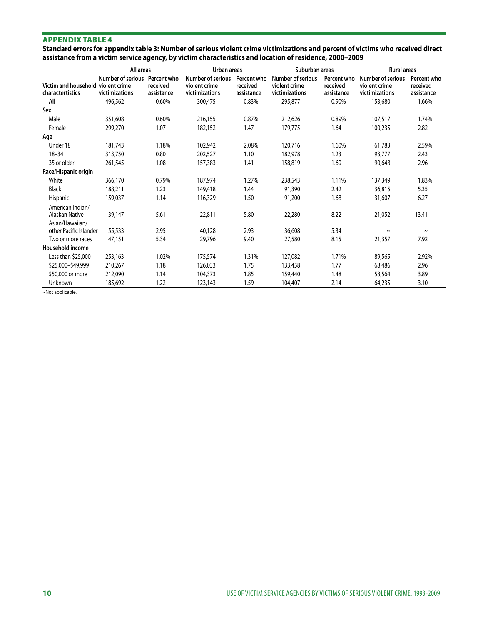**Standard errors for appendix table 3: Number of serious violent crime victimizations and percent of victims who received direct assistance from a victim service agency, by victim characteristics and location of residence, 2000–2009**

|                                           | All areas                                            |                                       | Urban areas                                                 |                                       | Suburban areas                                              |                                       | <b>Rural areas</b>                                          |                                       |
|-------------------------------------------|------------------------------------------------------|---------------------------------------|-------------------------------------------------------------|---------------------------------------|-------------------------------------------------------------|---------------------------------------|-------------------------------------------------------------|---------------------------------------|
| Victim and household<br>charactertistics  | Number of serious<br>violent crime<br>victimizations | Percent who<br>received<br>assistance | <b>Number of serious</b><br>violent crime<br>victimizations | Percent who<br>received<br>assistance | <b>Number of serious</b><br>violent crime<br>victimizations | Percent who<br>received<br>assistance | <b>Number of serious</b><br>violent crime<br>victimizations | Percent who<br>received<br>assistance |
| All                                       | 496,562                                              | 0.60%                                 | 300.475                                                     | 0.83%                                 | 295,877                                                     | 0.90%                                 | 153,680                                                     | 1.66%                                 |
| Sex                                       |                                                      |                                       |                                                             |                                       |                                                             |                                       |                                                             |                                       |
| Male                                      | 351,608                                              | 0.60%                                 | 216,155                                                     | 0.87%                                 | 212,626                                                     | 0.89%                                 | 107,517                                                     | 1.74%                                 |
| Female                                    | 299,270                                              | 1.07                                  | 182,152                                                     | 1.47                                  | 179.775                                                     | 1.64                                  | 100,235                                                     | 2.82                                  |
| Age                                       |                                                      |                                       |                                                             |                                       |                                                             |                                       |                                                             |                                       |
| Under 18                                  | 181,743                                              | 1.18%                                 | 102,942                                                     | 2.08%                                 | 120,716                                                     | 1.60%                                 | 61,783                                                      | 2.59%                                 |
| $18 - 34$                                 | 313,750                                              | 0.80                                  | 202,527                                                     | 1.10                                  | 182,978                                                     | 1.23                                  | 93,777                                                      | 2.43                                  |
| 35 or older                               | 261,545                                              | 1.08                                  | 157,383                                                     | 1.41                                  | 158,819                                                     | 1.69                                  | 90,648                                                      | 2.96                                  |
| Race/Hispanic origin                      |                                                      |                                       |                                                             |                                       |                                                             |                                       |                                                             |                                       |
| White                                     | 366,170                                              | 0.79%                                 | 187,974                                                     | 1.27%                                 | 238,543                                                     | 1.11%                                 | 137,349                                                     | 1.83%                                 |
| Black                                     | 188,211                                              | 1.23                                  | 149,418                                                     | 1.44                                  | 91,390                                                      | 2.42                                  | 36,815                                                      | 5.35                                  |
| Hispanic                                  | 159,037                                              | 1.14                                  | 116,329                                                     | 1.50                                  | 91,200                                                      | 1.68                                  | 31,607                                                      | 6.27                                  |
| American Indian/<br>Alaskan Native        | 39,147                                               | 5.61                                  | 22,811                                                      | 5.80                                  | 22,280                                                      | 8.22                                  | 21,052                                                      | 13.41                                 |
| Asian/Hawaiian/<br>other Pacific Islander | 55,533                                               | 2.95                                  | 40,128                                                      | 2.93                                  | 36,608                                                      | 5.34                                  | $\tilde{\phantom{a}}$                                       | $\tilde{\phantom{a}}$                 |
| Two or more races                         | 47,151                                               | 5.34                                  | 29,796                                                      | 9.40                                  | 27,580                                                      | 8.15                                  | 21,357                                                      | 7.92                                  |
| Household income                          |                                                      |                                       |                                                             |                                       |                                                             |                                       |                                                             |                                       |
| Less than \$25,000                        | 253,163                                              | 1.02%                                 | 175,574                                                     | 1.31%                                 | 127,082                                                     | 1.71%                                 | 89,565                                                      | 2.92%                                 |
| \$25,000-\$49,999                         | 210,267                                              | 1.18                                  | 126,033                                                     | 1.75                                  | 133,458                                                     | 1.77                                  | 68,486                                                      | 2.96                                  |
| \$50,000 or more                          | 212,090                                              | 1.14                                  | 104,373                                                     | 1.85                                  | 159,440                                                     | 1.48                                  | 58,564                                                      | 3.89                                  |
| Unknown                                   | 185,692                                              | 1.22                                  | 123,143                                                     | 1.59                                  | 104,407                                                     | 2.14                                  | 64,235                                                      | 3.10                                  |
| ~Not applicable.                          |                                                      |                                       |                                                             |                                       |                                                             |                                       |                                                             |                                       |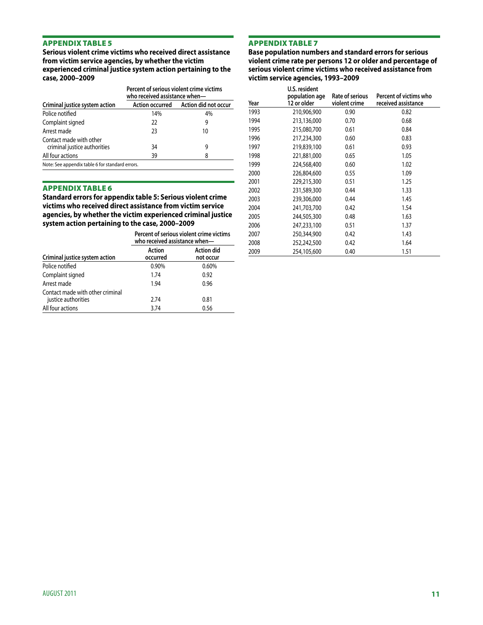**Serious violent crime victims who received direct assistance from victim service agencies, by whether the victim experienced criminal justice system action pertaining to the case, 2000–2009**

| Percent of serious violent crime victims<br>who received assistance when- |                                      |  |  |  |
|---------------------------------------------------------------------------|--------------------------------------|--|--|--|
|                                                                           | Action occurred Action did not occur |  |  |  |
| 14%                                                                       | 4%                                   |  |  |  |
| 22                                                                        | 9                                    |  |  |  |
| 23                                                                        | 10                                   |  |  |  |
| 34                                                                        | 9                                    |  |  |  |
| 39                                                                        | 8                                    |  |  |  |
| Note: See appendix table 6 for standard errors.                           |                                      |  |  |  |
|                                                                           |                                      |  |  |  |

#### Appendix table 6

**Standard errors for appendix table 5: Serious violent crime victims who received direct assistance from victim service agencies, by whether the victim experienced criminal justice system action pertaining to the case, 2000–2009**

|                                                         | Percent of serious violent crime victims<br>who received assistance when- |                                |  |  |
|---------------------------------------------------------|---------------------------------------------------------------------------|--------------------------------|--|--|
| Criminal justice system action                          | <b>Action</b><br>occurred                                                 | <b>Action did</b><br>not occur |  |  |
| Police notified                                         | 0.90%                                                                     | 0.60%                          |  |  |
| Complaint signed                                        | 1.74                                                                      | 0.92                           |  |  |
| Arrest made                                             | 1.94                                                                      | 0.96                           |  |  |
| Contact made with other criminal<br>justice authorities | 2.74                                                                      | 0.81                           |  |  |
| All four actions                                        | 3.74                                                                      | 0.56                           |  |  |

# Appendix table 7

**Base population numbers and standard errors for serious violent crime rate per persons 12 or older and percentage of serious violent crime victims who received assistance from victim service agencies, 1993–2009**

|      | U.S. resident                 |                                  |                                               |
|------|-------------------------------|----------------------------------|-----------------------------------------------|
| Year | population age<br>12 or older | Rate of serious<br>violent crime | Percent of victims who<br>received assistance |
| 1993 | 210,906,900                   | 0.90                             | 0.82                                          |
| 1994 | 213,136,000                   | 0.70                             | 0.68                                          |
| 1995 | 215,080,700                   | 0.61                             | 0.84                                          |
| 1996 | 217,234,300                   | 0.60                             | 0.83                                          |
| 1997 | 219,839,100                   | 0.61                             | 0.93                                          |
| 1998 | 221,881,000                   | 0.65                             | 1.05                                          |
| 1999 | 224,568,400                   | 0.60                             | 1.02                                          |
| 2000 | 226,804,600                   | 0.55                             | 1.09                                          |
| 2001 | 229,215,300                   | 0.51                             | 1.25                                          |
| 2002 | 231,589,300                   | 0.44                             | 1.33                                          |
| 2003 | 239,306,000                   | 0.44                             | 1.45                                          |
| 2004 | 241,703,700                   | 0.42                             | 1.54                                          |
| 2005 | 244,505,300                   | 0.48                             | 1.63                                          |
| 2006 | 247,233,100                   | 0.51                             | 1.37                                          |
| 2007 | 250,344,900                   | 0.42                             | 1.43                                          |
| 2008 | 252,242,500                   | 0.42                             | 1.64                                          |
| 2009 | 254,105,600                   | 0.40                             | 1.51                                          |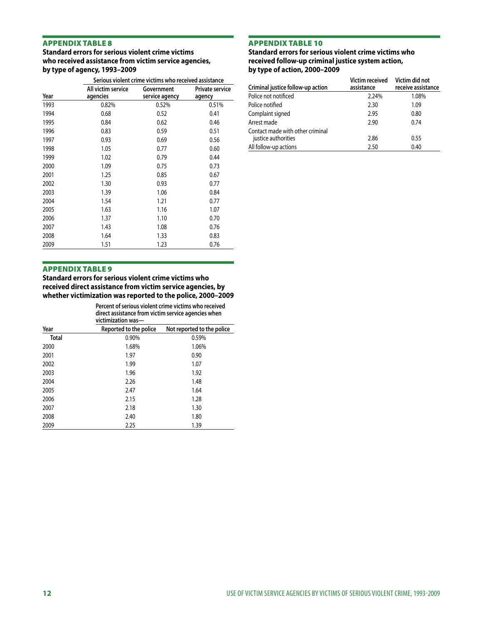# **Standard errors for serious violent crime victims who received assistance from victim service agencies, by type of agency, 1993–2009**

|      | Serious violent crime victims who received assistance |                              |                                  |  |  |
|------|-------------------------------------------------------|------------------------------|----------------------------------|--|--|
| Year | All victim service<br>agencies                        | Government<br>service agency | <b>Private service</b><br>agency |  |  |
| 1993 | 0.82%                                                 | 0.52%                        | 0.51%                            |  |  |
| 1994 | 0.68                                                  | 0.52                         | 0.41                             |  |  |
| 1995 | 0.84                                                  | 0.62                         | 0.46                             |  |  |
| 1996 | 0.83                                                  | 0.59                         | 0.51                             |  |  |
| 1997 | 0.93                                                  | 0.69                         | 0.56                             |  |  |
| 1998 | 1.05                                                  | 0.77                         | 0.60                             |  |  |
| 1999 | 1.02                                                  | 0.79                         | 0.44                             |  |  |
| 2000 | 1.09                                                  | 0.75                         | 0.73                             |  |  |
| 2001 | 1.25                                                  | 0.85                         | 0.67                             |  |  |
| 2002 | 1.30                                                  | 0.93                         | 0.77                             |  |  |
| 2003 | 1.39                                                  | 1.06                         | 0.84                             |  |  |
| 2004 | 1.54                                                  | 1.21                         | 0.77                             |  |  |
| 2005 | 1.63                                                  | 1.16                         | 1.07                             |  |  |
| 2006 | 1.37                                                  | 1.10                         | 0.70                             |  |  |
| 2007 | 1.43                                                  | 1.08                         | 0.76                             |  |  |
| 2008 | 1.64                                                  | 1.33                         | 0.83                             |  |  |
| 2009 | 1.51                                                  | 1.23                         | 0.76                             |  |  |

#### Appendix table 10

#### **Standard errors for serious violent crime victims who received follow-up criminal justice system action, by type of action, 2000–2009**

| Criminal justice follow-up action                       | Victim received<br>assistance | Victim did not<br>receive assistance |
|---------------------------------------------------------|-------------------------------|--------------------------------------|
| Police not notificed                                    | 2.24%                         | 1.08%                                |
| Police notified                                         | 2.30                          | 1.09                                 |
| Complaint signed                                        | 2.95                          | 0.80                                 |
| Arrest made                                             | 2.90                          | 0.74                                 |
| Contact made with other criminal<br>justice authorities | 2.86                          | 0.55                                 |
| All follow-up actions                                   | 2.50                          | 0.40                                 |

# Appendix table 9

**Standard errors for serious violent crime victims who received direct assistance from victim service agencies, by whether victimization was reported to the police, 2000–2009**

| Percent of serious violent crime victims who received |
|-------------------------------------------------------|
| direct assistance from victim service agencies when   |
| victimization was-                                    |

| VILUIIIILAUUII WAS— |                        |                            |
|---------------------|------------------------|----------------------------|
| Year                | Reported to the police | Not reported to the police |
| Total               | 0.90%                  | 0.59%                      |
| 2000                | 1.68%                  | 1.06%                      |
| 2001                | 1.97                   | 0.90                       |
| 2002                | 1.99                   | 1.07                       |
| 2003                | 1.96                   | 1.92                       |
| 2004                | 2.26                   | 1.48                       |
| 2005                | 2.47                   | 1.64                       |
| 2006                | 2.15                   | 1.28                       |
| 2007                | 2.18                   | 1.30                       |
| 2008                | 2.40                   | 1.80                       |
| 2009                | 2.25                   | 1.39                       |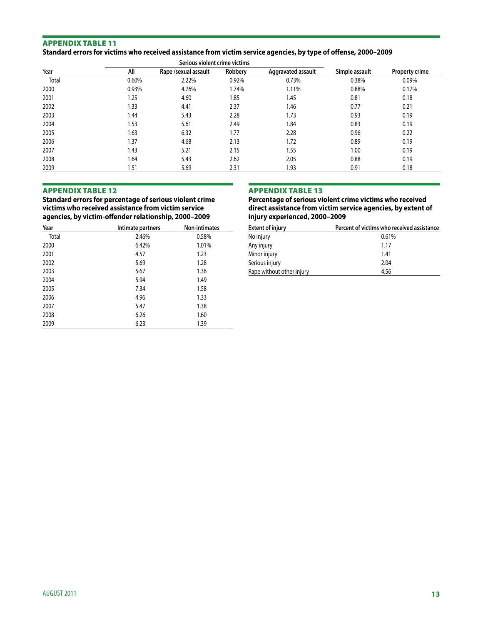#### Appendix table 11 **Standard errors for victims who received assistance from victim service agencies, by type of offense, 2000–2009**

| Serious violent crime victims |       |                      |         |                    |                |                |
|-------------------------------|-------|----------------------|---------|--------------------|----------------|----------------|
| Year                          | All   | Rape /sexual assault | Robbery | Aggravated assault | Simple assault | Property crime |
| Total                         | 0.60% | 2.22%                | 0.92%   | 0.73%              | 0.38%          | 0.09%          |
| 2000                          | 0.93% | 4.76%                | 1.74%   | 1.11%              | 0.88%          | 0.17%          |
| 2001                          | 1.25  | 4.60                 | 1.85    | 1.45               | 0.81           | 0.18           |
| 2002                          | 1.33  | 4.41                 | 2.37    | 1.46               | 0.77           | 0.21           |
| 2003                          | 1.44  | 5.43                 | 2.28    | 1.73               | 0.93           | 0.19           |
| 2004                          | 1.53  | 5.61                 | 2.49    | 1.84               | 0.83           | 0.19           |
| 2005                          | 1.63  | 6.32                 | 1.77    | 2.28               | 0.96           | 0.22           |
| 2006                          | 1.37  | 4.68                 | 2.13    | 1.72               | 0.89           | 0.19           |
| 2007                          | 1.43  | 5.21                 | 2.15    | 1.55               | 1.00           | 0.19           |
| 2008                          | 1.64  | 5.43                 | 2.62    | 2.05               | 0.88           | 0.19           |
| 2009                          | 1.51  | 5.69                 | 2.31    | 1.93               | 0.91           | 0.18           |

#### Appendix table 12

**Standard errors for percentage of serious violent crime victims who received assistance from victim service agencies, by victim-offender relationship, 2000–2009**

| Year  | Intimate partners | <b>Non-intimates</b> |
|-------|-------------------|----------------------|
| Total | 2.46%             | 0.58%                |
| 2000  | 6.42%             | 1.01%                |
| 2001  | 4.57              | 1.23                 |
| 2002  | 5.69              | 1.28                 |
| 2003  | 5.67              | 1.36                 |
| 2004  | 5.94              | 1.49                 |
| 2005  | 7.34              | 1.58                 |
| 2006  | 4.96              | 1.33                 |
| 2007  | 5.47              | 1.38                 |
| 2008  | 6.26              | 1.60                 |
| 2009  | 6.23              | 1.39                 |

#### Appendix table 13

**Percentage of serious violent crime victims who received direct assistance from victim service agencies, by extent of injury experienced, 2000–2009**

| <b>Extent of injury</b>   | Percent of victims who received assistance |
|---------------------------|--------------------------------------------|
| No injury                 | 0.61%                                      |
| Any injury                | 1.17                                       |
| Minor injury              | 1.41                                       |
| Serious injury            | 2.04                                       |
| Rape without other injury | 4.56                                       |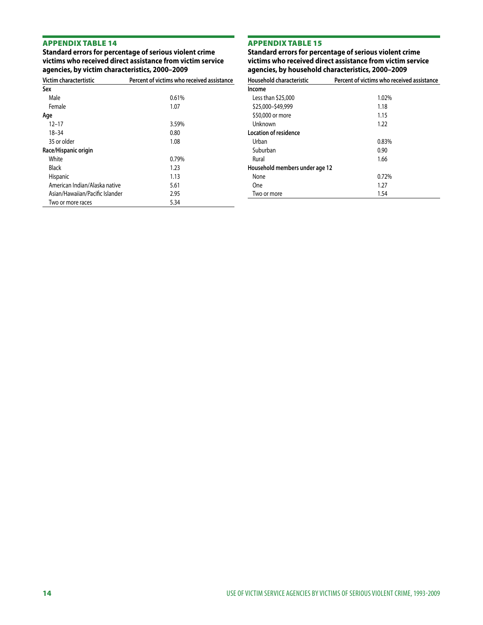**Standard errors for percentage of serious violent crime victims who received direct assistance from victim service agencies, by victim characteristics, 2000–2009**

# Appendix table 15

**Standard errors for percentage of serious violent crime victims who received direct assistance from victim service agencies, by household characteristics, 2000–2009** 

| Victim charactertistic          | Percent of victims who received assistance |
|---------------------------------|--------------------------------------------|
| Sex                             |                                            |
| Male                            | 0.61%                                      |
| Female                          | 1.07                                       |
| Age                             |                                            |
| $12 - 17$                       | 3.59%                                      |
| $18 - 34$                       | 0.80                                       |
| 35 or older                     | 1.08                                       |
| Race/Hispanic origin            |                                            |
| White                           | 0.79%                                      |
| Black                           | 1.23                                       |
| <b>Hispanic</b>                 | 1.13                                       |
| American Indian/Alaska native   | 5.61                                       |
| Asian/Hawaiian/Pacific Islander | 2.95                                       |
| Two or more races               | 5.34                                       |

| Household characteristic       | Percent of victims who received assistance |
|--------------------------------|--------------------------------------------|
| Income                         |                                            |
| Less than \$25,000             | 1.02%                                      |
| \$25,000-\$49,999              | 1.18                                       |
| \$50,000 or more               | 1.15                                       |
| Unknown                        | 1.22                                       |
| Location of residence          |                                            |
| Urban                          | 0.83%                                      |
| Suburban                       | 0.90                                       |
| Rural                          | 1.66                                       |
| Household members under age 12 |                                            |
| None                           | 0.72%                                      |
| One                            | 1.27                                       |
| Two or more                    | 1.54                                       |